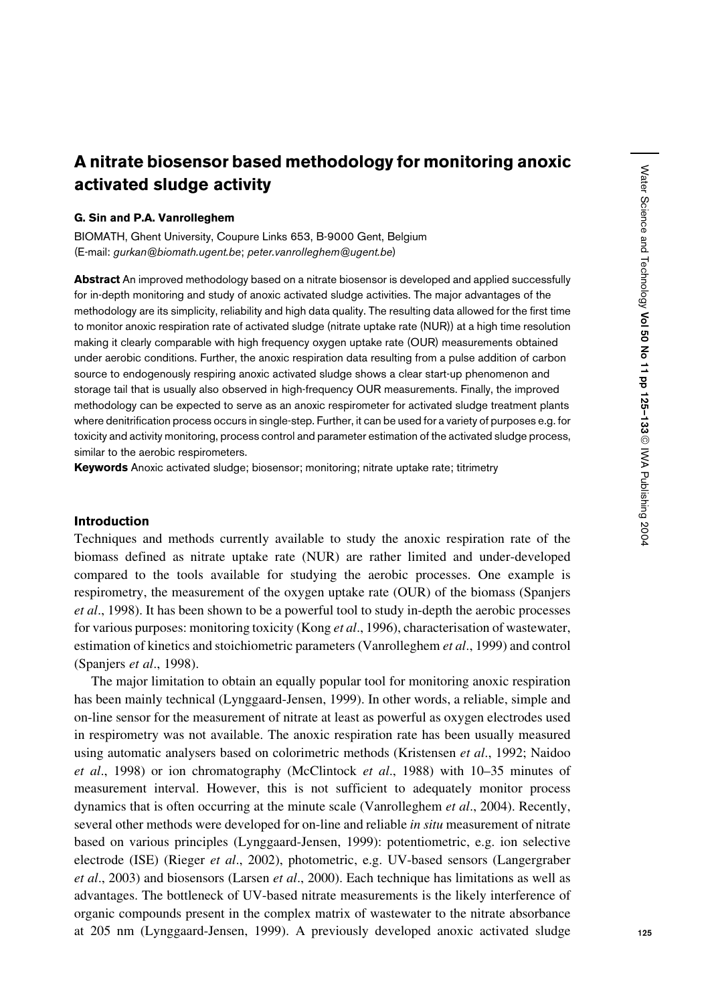# A nitrate biosensor based methodology for monitoring anoxic activated sludge activity

## G. Sin and P.A. Vanrolleghem

BIOMATH, Ghent University, Coupure Links 653, B-9000 Gent, Belgium (E-mail: gurkan@biomath.ugent.be; peter.vanrolleghem@ugent.be)

Abstract An improved methodology based on a nitrate biosensor is developed and applied successfully for in-depth monitoring and study of anoxic activated sludge activities. The major advantages of the methodology are its simplicity, reliability and high data quality. The resulting data allowed for the first time to monitor anoxic respiration rate of activated sludge (nitrate uptake rate (NUR)) at a high time resolution making it clearly comparable with high frequency oxygen uptake rate (OUR) measurements obtained under aerobic conditions. Further, the anoxic respiration data resulting from a pulse addition of carbon source to endogenously respiring anoxic activated sludge shows a clear start-up phenomenon and storage tail that is usually also observed in high-frequency OUR measurements. Finally, the improved methodology can be expected to serve as an anoxic respirometer for activated sludge treatment plants where denitrification process occurs in single-step. Further, it can be used for a variety of purposes e.g. for toxicity and activity monitoring, process control and parameter estimation of the activated sludge process, similar to the aerobic respirometers.

Keywords Anoxic activated sludge; biosensor; monitoring; nitrate uptake rate; titrimetry

## Introduction

Techniques and methods currently available to study the anoxic respiration rate of the biomass defined as nitrate uptake rate (NUR) are rather limited and under-developed compared to the tools available for studying the aerobic processes. One example is respirometry, the measurement of the oxygen uptake rate (OUR) of the biomass (Spanjers et al., 1998). It has been shown to be a powerful tool to study in-depth the aerobic processes for various purposes: monitoring toxicity (Kong *et al.*, 1996), characterisation of wastewater, estimation of kinetics and stoichiometric parameters (Vanrolleghem et al., 1999) and control (Spanjers et al., 1998).

The major limitation to obtain an equally popular tool for monitoring anoxic respiration has been mainly technical (Lynggaard-Jensen, 1999). In other words, a reliable, simple and on-line sensor for the measurement of nitrate at least as powerful as oxygen electrodes used in respirometry was not available. The anoxic respiration rate has been usually measured using automatic analysers based on colorimetric methods (Kristensen et al., 1992; Naidoo et al., 1998) or ion chromatography (McClintock et al., 1988) with  $10-35$  minutes of measurement interval. However, this is not sufficient to adequately monitor process dynamics that is often occurring at the minute scale (Vanrolleghem et al., 2004). Recently, several other methods were developed for on-line and reliable in situ measurement of nitrate based on various principles (Lynggaard-Jensen, 1999): potentiometric, e.g. ion selective electrode (ISE) (Rieger et al., 2002), photometric, e.g. UV-based sensors (Langergraber  $et al., 2003$  and biosensors (Larsen  $et al., 2000$ ). Each technique has limitations as well as advantages. The bottleneck of UV-based nitrate measurements is the likely interference of organic compounds present in the complex matrix of wastewater to the nitrate absorbance at 205 nm (Lynggaard-Jensen, 1999). A previously developed anoxic activated sludge 125Water Science and Technology Vol 50 No 11 pp 125–133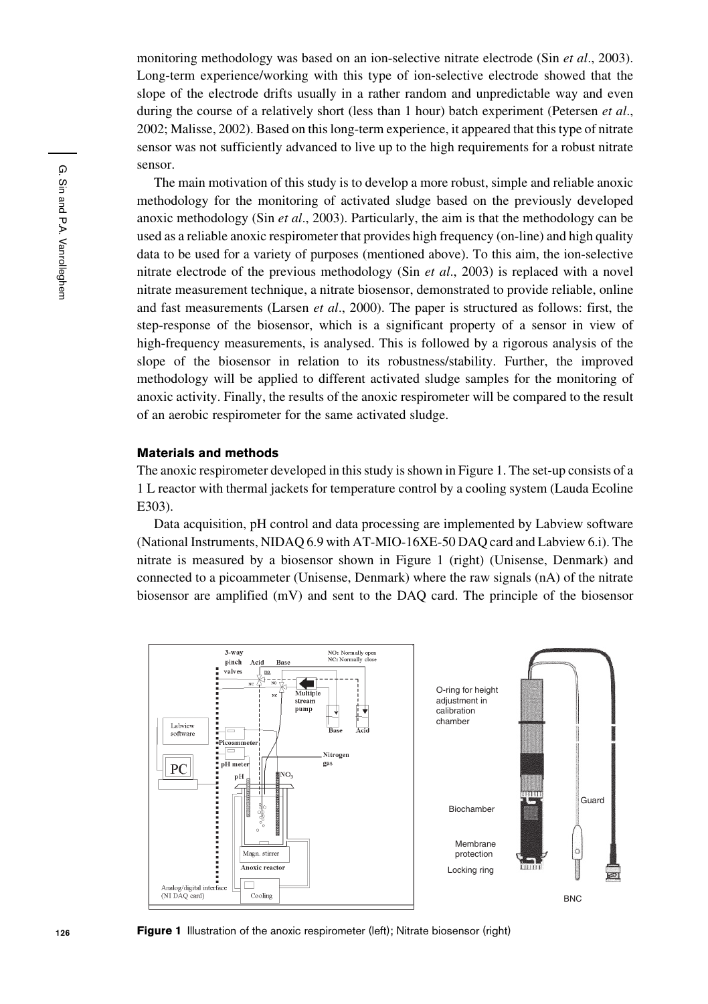monitoring methodology was based on an ion-selective nitrate electrode (Sin *et al.*, 2003). Long-term experience/working with this type of ion-selective electrode showed that the slope of the electrode drifts usually in a rather random and unpredictable way and even during the course of a relatively short (less than 1 hour) batch experiment (Petersen *et al.*, 2002; Malisse, 2002). Based on this long-term experience, it appeared that this type of nitrate sensor was not sufficiently advanced to live up to the high requirements for a robust nitrate sensor.

The main motivation of this study is to develop a more robust, simple and reliable anoxic methodology for the monitoring of activated sludge based on the previously developed anoxic methodology (Sin et al., 2003). Particularly, the aim is that the methodology can be used as a reliable anoxic respirometer that provides high frequency (on-line) and high quality data to be used for a variety of purposes (mentioned above). To this aim, the ion-selective nitrate electrode of the previous methodology (Sin et al., 2003) is replaced with a novel nitrate measurement technique, a nitrate biosensor, demonstrated to provide reliable, online and fast measurements (Larsen *et al.*, 2000). The paper is structured as follows: first, the step-response of the biosensor, which is a significant property of a sensor in view of high-frequency measurements, is analysed. This is followed by a rigorous analysis of the slope of the biosensor in relation to its robustness/stability. Further, the improved methodology will be applied to different activated sludge samples for the monitoring of anoxic activity. Finally, the results of the anoxic respirometer will be compared to the result of an aerobic respirometer for the same activated sludge.

## Materials and methods

The anoxic respirometer developed in this study is shown in Figure 1. The set-up consists of a 1 L reactor with thermal jackets for temperature control by a cooling system (Lauda Ecoline E303).

Data acquisition, pH control and data processing are implemented by Labview software (National Instruments, NIDAQ 6.9 with AT-MIO-16XE-50 DAQ card and Labview 6.i). The nitrate is measured by a biosensor shown in Figure 1 (right) (Unisense, Denmark) and connected to a picoammeter (Unisense, Denmark) where the raw signals (nA) of the nitrate biosensor are amplified (mV) and sent to the DAQ card. The principle of the biosensor

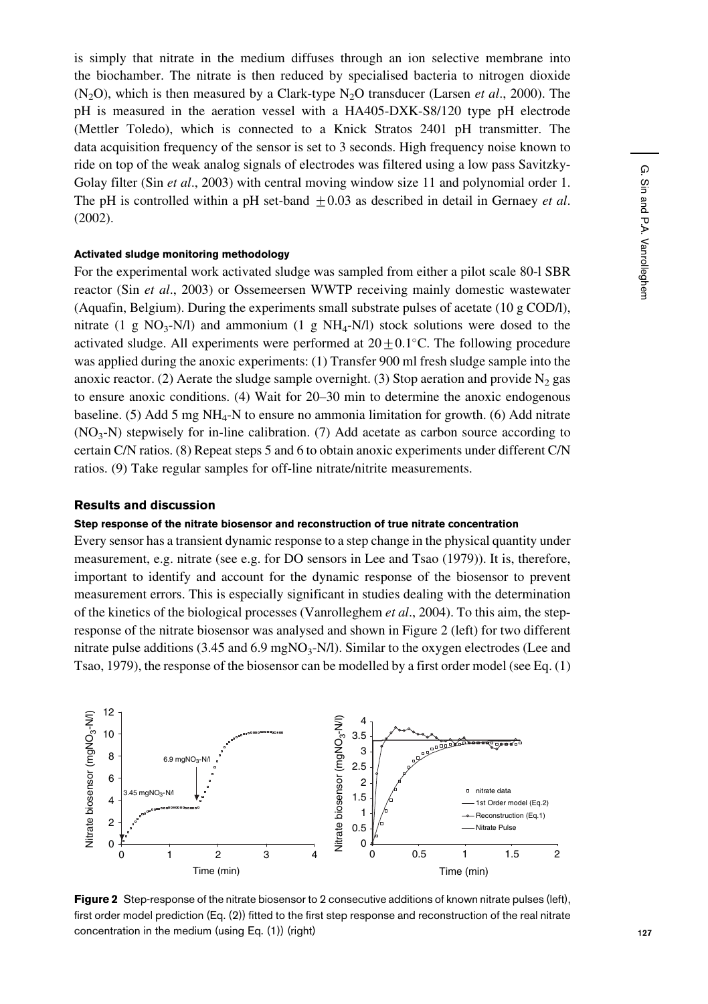is simply that nitrate in the medium diffuses through an ion selective membrane into the biochamber. The nitrate is then reduced by specialised bacteria to nitrogen dioxide  $(N_2O)$ , which is then measured by a Clark-type  $N_2O$  transducer (Larsen *et al.*, 2000). The pH is measured in the aeration vessel with a HA405-DXK-S8/120 type pH electrode (Mettler Toledo), which is connected to a Knick Stratos 2401 pH transmitter. The data acquisition frequency of the sensor is set to 3 seconds. High frequency noise known to ride on top of the weak analog signals of electrodes was filtered using a low pass Savitzky-Golay filter (Sin et al., 2003) with central moving window size 11 and polynomial order 1. The pH is controlled within a pH set-band  $+0.03$  as described in detail in Gernaey *et al.* (2002).

### Activated sludge monitoring methodology

For the experimental work activated sludge was sampled from either a pilot scale 80-l SBR reactor (Sin et al., 2003) or Ossemeersen WWTP receiving mainly domestic wastewater (Aquafin, Belgium). During the experiments small substrate pulses of acetate (10 g COD/l), nitrate (1 g NO<sub>3</sub>-N/l) and ammonium (1 g NH<sub>4</sub>-N/l) stock solutions were dosed to the activated sludge. All experiments were performed at  $20+0.1^{\circ}$ C. The following procedure was applied during the anoxic experiments: (1) Transfer 900 ml fresh sludge sample into the anoxic reactor. (2) Aerate the sludge sample overnight. (3) Stop aeration and provide  $N_2$  gas to ensure anoxic conditions. (4) Wait for 20–30 min to determine the anoxic endogenous baseline. (5) Add 5 mg  $NH<sub>4</sub>-N$  to ensure no ammonia limitation for growth. (6) Add nitrate  $(NO<sub>3</sub>-N)$  stepwisely for in-line calibration. (7) Add acetate as carbon source according to certain C/N ratios. (8) Repeat steps 5 and 6 to obtain anoxic experiments under different C/N ratios. (9) Take regular samples for off-line nitrate/nitrite measurements. nna to require a such as the medium of the medium of the medium of the medium of the medium of the medium (1) is the medium (2)) (right) is concerned within a pH sec-band + 0.03 as described in detail in Granay et al.<br>
Th

#### Results and discussion

#### Step response of the nitrate biosensor and reconstruction of true nitrate concentration

Every sensor has a transient dynamic response to a step change in the physical quantity under measurement, e.g. nitrate (see e.g. for DO sensors in Lee and Tsao (1979)). It is, therefore, important to identify and account for the dynamic response of the biosensor to prevent measurement errors. This is especially significant in studies dealing with the determination of the kinetics of the biological processes (Vanrolleghem et al., 2004). To this aim, the stepresponse of the nitrate biosensor was analysed and shown in Figure 2 (left) for two different nitrate pulse additions (3.45 and 6.9 mgNO<sub>3</sub>-N/l). Similar to the oxygen electrodes (Lee and Tsao, 1979), the response of the biosensor can be modelled by a first order model (see Eq. (1)



Figure 2 Step-response of the nitrate biosensor to 2 consecutive additions of known nitrate pulses (left), first order model prediction (Eq. (2)) fitted to the first step response and reconstruction of the real nitrate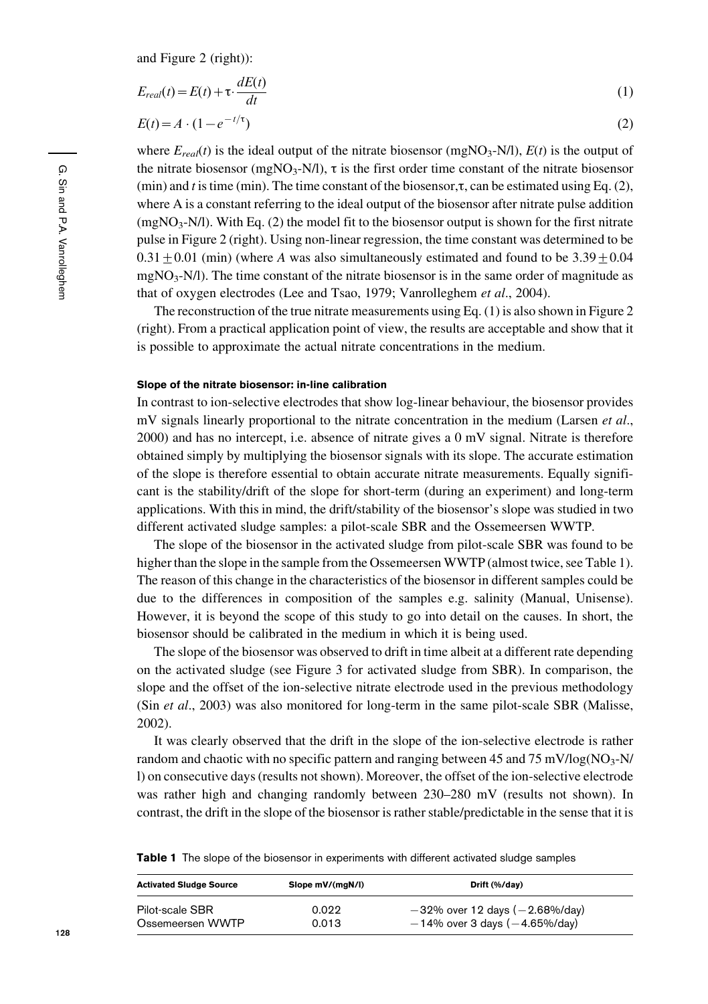and Figure 2 (right)):

$$
E_{real}(t) = E(t) + \tau \cdot \frac{dE(t)}{dt}
$$
\n(1)

$$
E(t) = A \cdot (1 - e^{-t/\tau})
$$
\n<sup>(2)</sup>

where  $E_{real}(t)$  is the ideal output of the nitrate biosensor (mgNO<sub>3</sub>-N/l),  $E(t)$  is the output of the nitrate biosensor (mgNO<sub>3</sub>-N/l),  $\tau$  is the first order time constant of the nitrate biosensor (min) and t is time (min). The time constant of the biosensor, $\tau$ , can be estimated using Eq. (2), where A is a constant referring to the ideal output of the biosensor after nitrate pulse addition  $(mgNO<sub>3</sub>-N/l)$ . With Eq. (2) the model fit to the biosensor output is shown for the first nitrate pulse in Figure 2 (right). Using non-linear regression, the time constant was determined to be  $0.31 + 0.01$  (min) (where A was also simultaneously estimated and found to be  $3.39 + 0.04$  $mgNO<sub>3</sub>-N/l$ ). The time constant of the nitrate biosensor is in the same order of magnitude as that of oxygen electrodes (Lee and Tsao, 1979; Vanrolleghem et al., 2004).

The reconstruction of the true nitrate measurements using Eq. (1) is also shown in Figure 2 (right). From a practical application point of view, the results are acceptable and show that it is possible to approximate the actual nitrate concentrations in the medium.

#### Slope of the nitrate biosensor: in-line calibration

In contrast to ion-selective electrodes that show log-linear behaviour, the biosensor provides mV signals linearly proportional to the nitrate concentration in the medium (Larsen  $et al.,$ 2000) and has no intercept, i.e. absence of nitrate gives a 0 mV signal. Nitrate is therefore obtained simply by multiplying the biosensor signals with its slope. The accurate estimation of the slope is therefore essential to obtain accurate nitrate measurements. Equally significant is the stability/drift of the slope for short-term (during an experiment) and long-term applications. With this in mind, the drift/stability of the biosensor's slope was studied in two different activated sludge samples: a pilot-scale SBR and the Ossemeersen WWTP. Be noticely boosses or (mg/Ob-N/D), T is the into too that in the interest of the biosses and the material pair of the interest of the interest of the signes of material pair (with  $\frac{1}{2}$  with  $\frac{1}{2}$  with  $\frac{1}{2}$ 

The slope of the biosensor in the activated sludge from pilot-scale SBR was found to be higher than the slope in the sample from the Ossemeersen WWTP (almost twice, see Table 1). The reason of this change in the characteristics of the biosensor in different samples could be due to the differences in composition of the samples e.g. salinity (Manual, Unisense). However, it is beyond the scope of this study to go into detail on the causes. In short, the biosensor should be calibrated in the medium in which it is being used.

The slope of the biosensor was observed to drift in time albeit at a different rate depending on the activated sludge (see Figure 3 for activated sludge from SBR). In comparison, the slope and the offset of the ion-selective nitrate electrode used in the previous methodology (Sin et al., 2003) was also monitored for long-term in the same pilot-scale SBR (Malisse, 2002).

It was clearly observed that the drift in the slope of the ion-selective electrode is rather random and chaotic with no specific pattern and ranging between 45 and 75 mV/log( $NO<sub>3</sub>-N/$ l) on consecutive days (results not shown). Moreover, the offset of the ion-selective electrode was rather high and changing randomly between 230–280 mV (results not shown). In contrast, the drift in the slope of the biosensor is rather stable/predictable in the sense that it is

| <b>Activated Sludge Source</b> | Slope mV/(mgN/l) | Drift (%/day)                          |
|--------------------------------|------------------|----------------------------------------|
| Pilot-scale SBR                | 0.022            | $-32\%$ over 12 days ( $-2.68\%$ /day) |
| Ossemeersen WWTP               | 0.013            | $-14\%$ over 3 days ( $-4.65\%$ /day)  |

Table 1 The slope of the biosensor in experiments with different activated sludge samples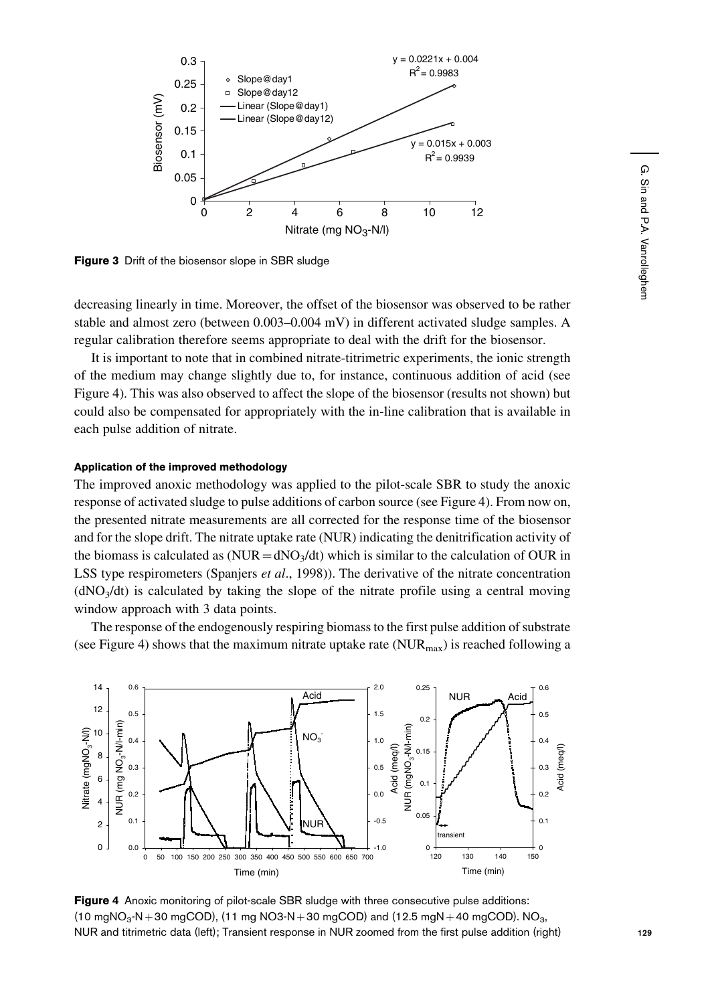

Figure 3 Drift of the biosensor slope in SBR sludge

decreasing linearly in time. Moreover, the offset of the biosensor was observed to be rather stable and almost zero (between 0.003–0.004 mV) in different activated sludge samples. A regular calibration therefore seems appropriate to deal with the drift for the biosensor.

It is important to note that in combined nitrate-titrimetric experiments, the ionic strength of the medium may change slightly due to, for instance, continuous addition of acid (see Figure 4). This was also observed to affect the slope of the biosensor (results not shown) but could also be compensated for appropriately with the in-line calibration that is available in each pulse addition of nitrate.

### Application of the improved methodology

The improved anoxic methodology was applied to the pilot-scale SBR to study the anoxic response of activated sludge to pulse additions of carbon source (see Figure 4). From now on, the presented nitrate measurements are all corrected for the response time of the biosensor and for the slope drift. The nitrate uptake rate (NUR) indicating the denitrification activity of the biomass is calculated as (NUR =  $dNO<sub>3</sub>/dt$ ) which is similar to the calculation of OUR in LSS type respirometers (Spanjers et al., 1998)). The derivative of the nitrate concentration  $(dNO<sub>3</sub>/dt)$  is calculated by taking the slope of the nitrate profile using a central moving window approach with 3 data points.

The response of the endogenously respiring biomass to the first pulse addition of substrate (see Figure 4) shows that the maximum nitrate uptake rate  $(NUR_{max})$  is reached following a



Figure 4 Anoxic monitoring of pilot-scale SBR sludge with three consecutive pulse additions:  $(10 \text{ mgNO}_3\text{-N} + 30 \text{ mgCOD})$ ,  $(11 \text{ mg NO}_3\text{-N} + 30 \text{ mgCOD})$  and  $(12.5 \text{ mgN} + 40 \text{ mgCOD})$ . NO<sub>3</sub>,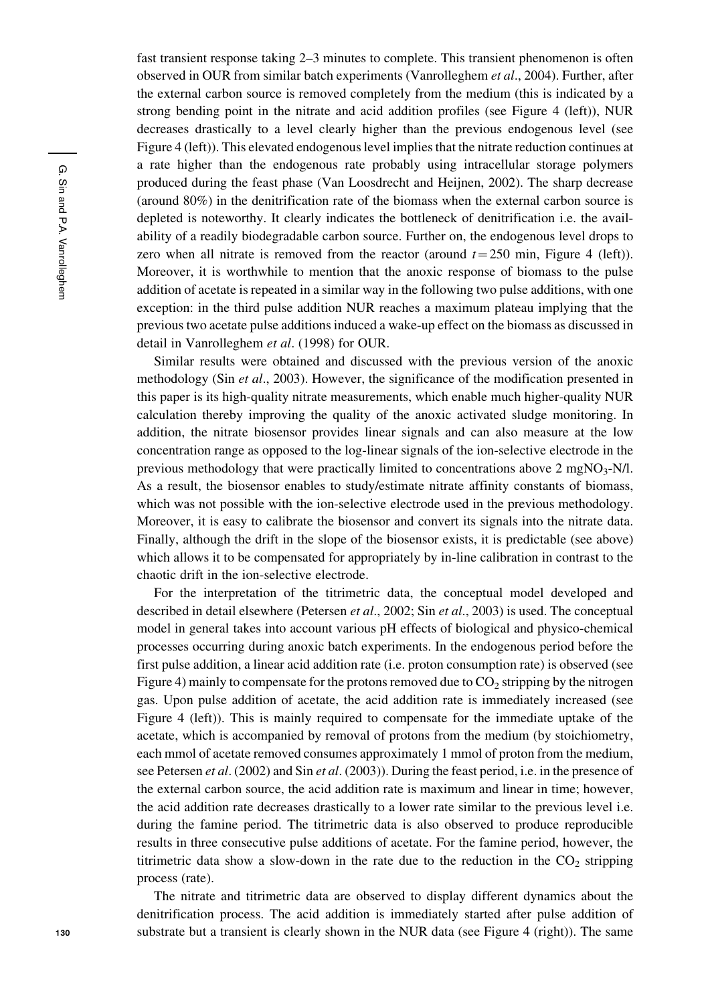fast transient response taking 2–3 minutes to complete. This transient phenomenon is often observed in OUR from similar batch experiments (Vanrolleghem et al., 2004). Further, after the external carbon source is removed completely from the medium (this is indicated by a strong bending point in the nitrate and acid addition profiles (see Figure 4 (left)), NUR decreases drastically to a level clearly higher than the previous endogenous level (see Figure 4 (left)). This elevated endogenous level implies that the nitrate reduction continues at a rate higher than the endogenous rate probably using intracellular storage polymers produced during the feast phase (Van Loosdrecht and Heijnen, 2002). The sharp decrease (around 80%) in the denitrification rate of the biomass when the external carbon source is depleted is noteworthy. It clearly indicates the bottleneck of denitrification i.e. the availability of a readily biodegradable carbon source. Further on, the endogenous level drops to zero when all nitrate is removed from the reactor (around  $t=250$  min, Figure 4 (left)). Moreover, it is worthwhile to mention that the anoxic response of biomass to the pulse addition of acetate is repeated in a similar way in the following two pulse additions, with one exception: in the third pulse addition NUR reaches a maximum plateau implying that the previous two acetate pulse additions induced a wake-up effect on the biomass as discussed in detail in Vanrolleghem et al. (1998) for OUR.

Similar results were obtained and discussed with the previous version of the anoxic methodology (Sin et al., 2003). However, the significance of the modification presented in this paper is its high-quality nitrate measurements, which enable much higher-quality NUR calculation thereby improving the quality of the anoxic activated sludge monitoring. In addition, the nitrate biosensor provides linear signals and can also measure at the low concentration range as opposed to the log-linear signals of the ion-selective electrode in the previous methodology that were practically limited to concentrations above  $2 \text{ mgNO}_3\text{-N/l}$ . As a result, the biosensor enables to study/estimate nitrate affinity constants of biomass, which was not possible with the ion-selective electrode used in the previous methodology. Moreover, it is easy to calibrate the biosensor and convert its signals into the nitrate data. Finally, although the drift in the slope of the biosensor exists, it is predictable (see above) which allows it to be compensated for appropriately by in-line calibration in contrast to the chaotic drift in the ion-selective electrode.

For the interpretation of the titrimetric data, the conceptual model developed and described in detail elsewhere (Petersen et al., 2002; Sin et al., 2003) is used. The conceptual model in general takes into account various pH effects of biological and physico-chemical processes occurring during anoxic batch experiments. In the endogenous period before the first pulse addition, a linear acid addition rate (i.e. proton consumption rate) is observed (see Figure 4) mainly to compensate for the protons removed due to  $CO<sub>2</sub>$  stripping by the nitrogen gas. Upon pulse addition of acetate, the acid addition rate is immediately increased (see Figure 4 (left)). This is mainly required to compensate for the immediate uptake of the acetate, which is accompanied by removal of protons from the medium (by stoichiometry, each mmol of acetate removed consumes approximately 1 mmol of proton from the medium, see Petersen *et al.* (2002) and Sin *et al.* (2003)). During the feast period, i.e. in the presence of the external carbon source, the acid addition rate is maximum and linear in time; however, the acid addition rate decreases drastically to a lower rate similar to the previous level i.e. during the famine period. The titrimetric data is also observed to produce reproducible results in three consecutive pulse additions of acetate. For the famine period, however, the titrimetric data show a slow-down in the rate due to the reduction in the  $CO<sub>2</sub>$  stripping process (rate). 2 substrate but a transient in the cluster of the butan set Figure 3.1 substrate that the control of the butan set Figure 4 (right)) to the definited to the NUR depth of the NUR depth of the NUR depth of the NUR depth of t

The nitrate and titrimetric data are observed to display different dynamics about the denitrification process. The acid addition is immediately started after pulse addition of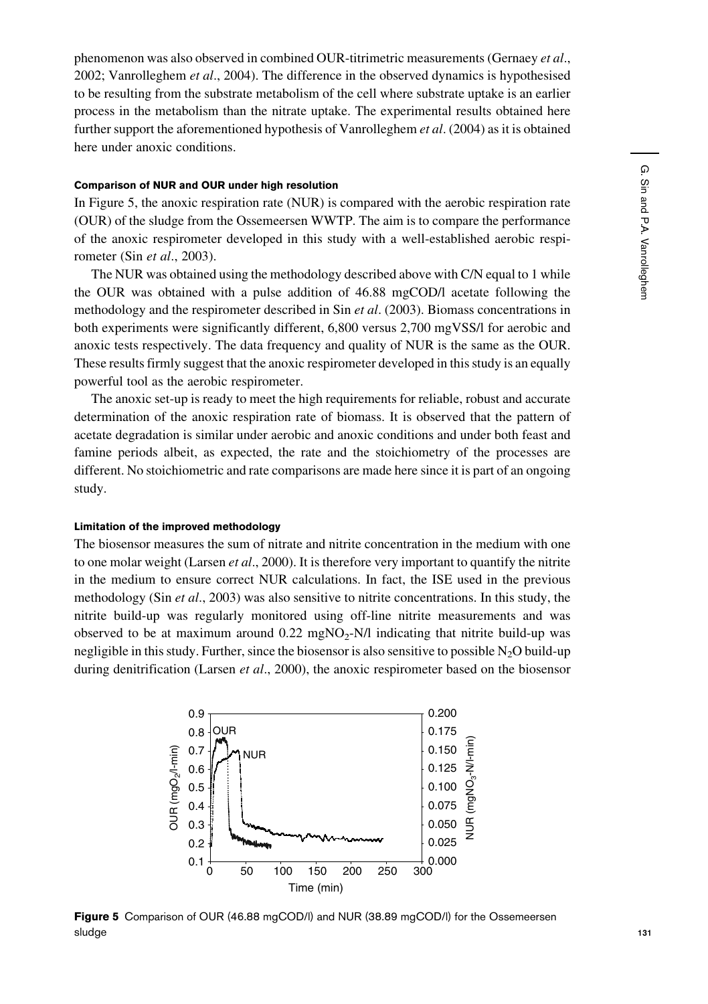phenomenon was also observed in combined OUR-titrimetric measurements (Gernaey et al., 2002; Vanrolleghem et al., 2004). The difference in the observed dynamics is hypothesised to be resulting from the substrate metabolism of the cell where substrate uptake is an earlier process in the metabolism than the nitrate uptake. The experimental results obtained here further support the aforementioned hypothesis of Vanrolleghem et al. (2004) as it is obtained here under anoxic conditions.

## Comparison of NUR and OUR under high resolution

In Figure 5, the anoxic respiration rate (NUR) is compared with the aerobic respiration rate (OUR) of the sludge from the Ossemeersen WWTP. The aim is to compare the performance of the anoxic respirometer developed in this study with a well-established aerobic respirometer (Sin et al., 2003).

The NUR was obtained using the methodology described above with C/N equal to 1 while the OUR was obtained with a pulse addition of 46.88 mgCOD/l acetate following the methodology and the respirometer described in Sin et al. (2003). Biomass concentrations in both experiments were significantly different, 6,800 versus 2,700 mgVSS/l for aerobic and anoxic tests respectively. The data frequency and quality of NUR is the same as the OUR. These results firmly suggest that the anoxic respirometer developed in this study is an equally powerful tool as the aerobic respirometer.

The anoxic set-up is ready to meet the high requirements for reliable, robust and accurate determination of the anoxic respiration rate of biomass. It is observed that the pattern of acetate degradation is similar under aerobic and anoxic conditions and under both feast and famine periods albeit, as expected, the rate and the stoichiometry of the processes are different. No stoichiometric and rate comparisons are made here since it is part of an ongoing study.

### Limitation of the improved methodology

The biosensor measures the sum of nitrate and nitrite concentration in the medium with one to one molar weight (Larsen *et al.*, 2000). It is therefore very important to quantify the nitrite in the medium to ensure correct NUR calculations. In fact, the ISE used in the previous methodology (Sin et al., 2003) was also sensitive to nitrite concentrations. In this study, the nitrite build-up was regularly monitored using off-line nitrite measurements and was observed to be at maximum around  $0.22 \text{ mgNO}_2\text{-N/l}$  indicating that nitrite build-up was negligible in this study. Further, since the biosensor is also sensitive to possible  $N_2O$  build-up during denitrification (Larsen et al., 2000), the anoxic respirometer based on the biosensor



Figure 5 Comparison of OUR (46.88 mgCOD/l) and NUR (38.89 mgCOD/l) for the Ossemeersen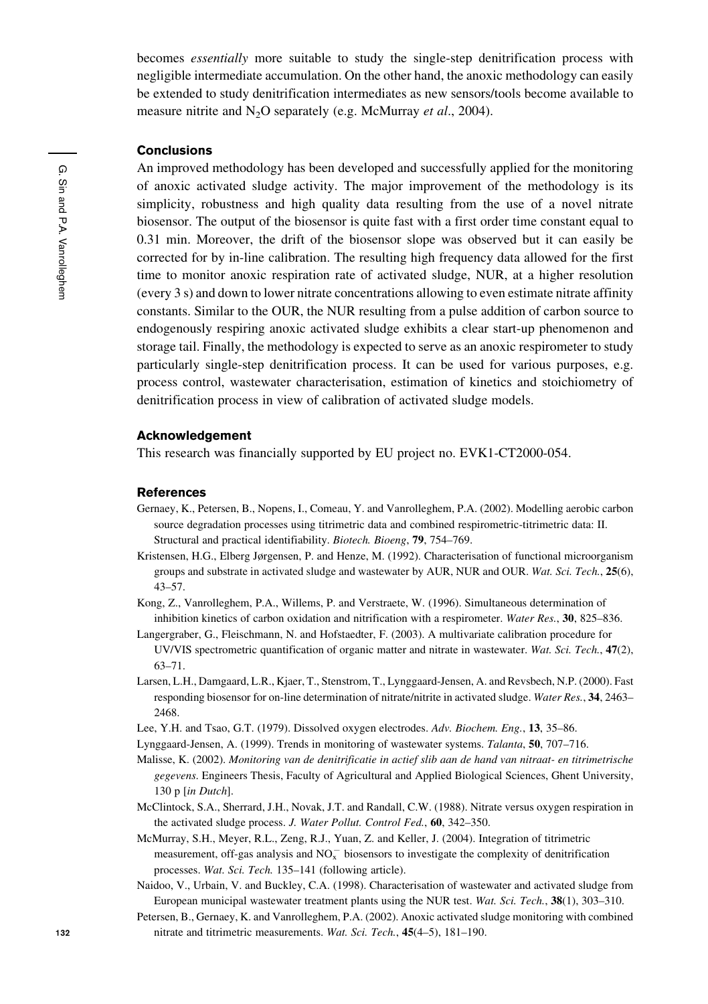becomes essentially more suitable to study the single-step denitrification process with negligible intermediate accumulation. On the other hand, the anoxic methodology can easily be extended to study denitrification intermediates as new sensors/tools become available to measure nitrite and  $N_2O$  separately (e.g. McMurray *et al.*, 2004).

## **Conclusions**

An improved methodology has been developed and successfully applied for the monitoring of anoxic activated sludge activity. The major improvement of the methodology is its simplicity, robustness and high quality data resulting from the use of a novel nitrate biosensor. The output of the biosensor is quite fast with a first order time constant equal to 0.31 min. Moreover, the drift of the biosensor slope was observed but it can easily be corrected for by in-line calibration. The resulting high frequency data allowed for the first time to monitor anoxic respiration rate of activated sludge, NUR, at a higher resolution (every 3 s) and down to lower nitrate concentrations allowing to even estimate nitrate affinity constants. Similar to the OUR, the NUR resulting from a pulse addition of carbon source to endogenously respiring anoxic activated sludge exhibits a clear start-up phenomenon and storage tail. Finally, the methodology is expected to serve as an anoxic respirometer to study particularly single-step denitrification process. It can be used for various purposes, e.g. process control, wastewater characterisation, estimation of kinetics and stoichiometry of denitrification process in view of calibration of activated sludge models. 67 nitrate mediator and successors and the state of the state and successible properties and the state of the state of the state of the state of the state of the state of the state of the state of the state of the state o

#### Acknowledgement

This research was financially supported by EU project no. EVK1-CT2000-054.

#### References

- Gernaey, K., Petersen, B., Nopens, I., Comeau, Y. and Vanrolleghem, P.A. (2002). Modelling aerobic carbon source degradation processes using titrimetric data and combined respirometric-titrimetric data: II. Structural and practical identifiability. Biotech. Bioeng, 79, 754–769.
- Kristensen, H.G., Elberg Jørgensen, P. and Henze, M. (1992). Characterisation of functional microorganism groups and substrate in activated sludge and wastewater by AUR, NUR and OUR. Wat. Sci. Tech., 25(6), 43–57.
- Kong, Z., Vanrolleghem, P.A., Willems, P. and Verstraete, W. (1996). Simultaneous determination of inhibition kinetics of carbon oxidation and nitrification with a respirometer. Water Res., 30, 825–836.
- Langergraber, G., Fleischmann, N. and Hofstaedter, F. (2003). A multivariate calibration procedure for UV/VIS spectrometric quantification of organic matter and nitrate in wastewater. Wat. Sci. Tech., 47(2), 63–71.
- Larsen, L.H., Damgaard, L.R., Kjaer, T., Stenstrom, T., Lynggaard-Jensen, A. and Revsbech, N.P. (2000). Fast responding biosensor for on-line determination of nitrate/nitrite in activated sludge. Water Res., 34, 2463– 2468.
- Lee, Y.H. and Tsao, G.T. (1979). Dissolved oxygen electrodes. Adv. Biochem. Eng., 13, 35–86.
- Lynggaard-Jensen, A. (1999). Trends in monitoring of wastewater systems. Talanta, 50, 707–716.
- Malisse, K. (2002). Monitoring van de denitrificatie in actief slib aan de hand van nitraat- en titrimetrische gegevens. Engineers Thesis, Faculty of Agricultural and Applied Biological Sciences, Ghent University, 130 p [in Dutch].
- McClintock, S.A., Sherrard, J.H., Novak, J.T. and Randall, C.W. (1988). Nitrate versus oxygen respiration in the activated sludge process. J. Water Pollut. Control Fed., 60, 342–350.
- McMurray, S.H., Meyer, R.L., Zeng, R.J., Yuan, Z. and Keller, J. (2004). Integration of titrimetric measurement, off-gas analysis and  $NO<sub>x</sub><sup>-</sup>$  biosensors to investigate the complexity of denitrification processes. Wat. Sci. Tech. 135–141 (following article).
- Naidoo, V., Urbain, V. and Buckley, C.A. (1998). Characterisation of wastewater and activated sludge from European municipal wastewater treatment plants using the NUR test. Wat. Sci. Tech., 38(1), 303–310.
- Petersen, B., Gernaey, K. and Vanrolleghem, P.A. (2002). Anoxic activated sludge monitoring with combined